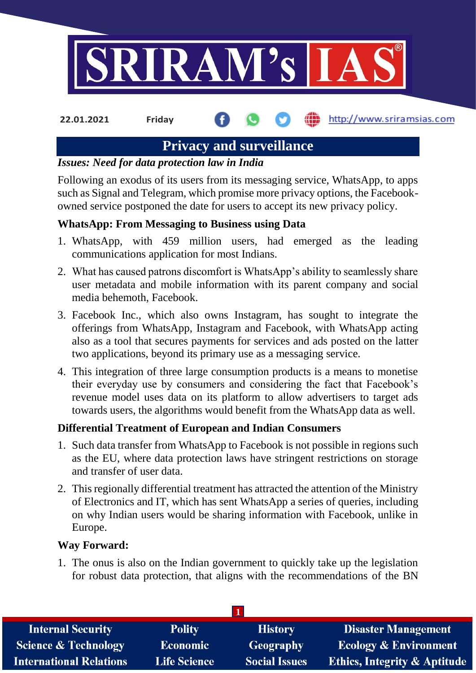

http://www.sriramsias.com **22.01.2021 Friday**

# **Privacy and surveillance**

#### *Issues: Need for data protection law in India*

Following an exodus of its users from its messaging service, WhatsApp, to apps such as Signal and Telegram, which promise more privacy options, the Facebookowned service postponed the date for users to accept its new privacy policy.

## **WhatsApp: From Messaging to Business using Data**

- 1. WhatsApp, with 459 million users, had emerged as the leading communications application for most Indians.
- 2. What has caused patrons discomfort is WhatsApp's ability to seamlessly share user metadata and mobile information with its parent company and social media behemoth, Facebook.
- 3. Facebook Inc., which also owns Instagram, has sought to integrate the offerings from WhatsApp, Instagram and Facebook, with WhatsApp acting also as a tool that secures payments for services and ads posted on the latter two applications, beyond its primary use as a messaging service.
- 4. This integration of three large consumption products is a means to monetise their everyday use by consumers and considering the fact that Facebook's revenue model uses data on its platform to allow advertisers to target ads towards users, the algorithms would benefit from the WhatsApp data as well.

## **Differential Treatment of European and Indian Consumers**

- 1. Such data transfer from WhatsApp to Facebook is not possible in regions such as the EU, where data protection laws have stringent restrictions on storage and transfer of user data.
- 2. This regionally differential treatment has attracted the attention of the Ministry of Electronics and IT, which has sent WhatsApp a series of queries, including on why Indian users would be sharing information with Facebook, unlike in Europe.

## **Way Forward:**

1. The onus is also on the Indian government to quickly take up the legislation for robust data protection, that aligns with the recommendations of the BN

| <b>Internal Security</b>        | <b>Polity</b>       | <b>History</b>       | <b>Disaster Management</b>              |  |  |
|---------------------------------|---------------------|----------------------|-----------------------------------------|--|--|
| <b>Science &amp; Technology</b> | <b>Economic</b>     | Geography            | <b>Ecology &amp; Environment</b>        |  |  |
| <b>International Relations</b>  | <b>Life Science</b> | <b>Social Issues</b> | <b>Ethics, Integrity &amp; Aptitude</b> |  |  |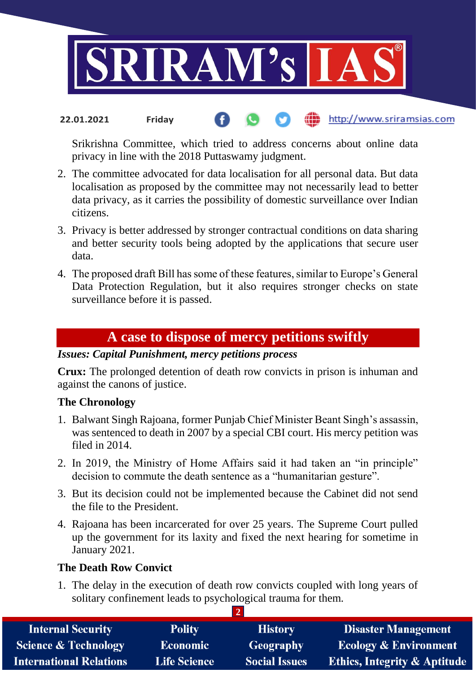

#### http://www.sriramsias.com **22.01.2021 Friday**

Srikrishna Committee, which tried to address concerns about online data privacy in line with the 2018 Puttaswamy judgment.

- 2. The committee advocated for data localisation for all personal data. But data localisation as proposed by the committee may not necessarily lead to better data privacy, as it carries the possibility of domestic surveillance over Indian citizens.
- 3. Privacy is better addressed by stronger contractual conditions on data sharing and better security tools being adopted by the applications that secure user data.
- 4. The proposed draft Bill has some of these features, similar to Europe's General Data Protection Regulation, but it also requires stronger checks on state surveillance before it is passed.

## **A case to dispose of mercy petitions swiftly**

#### *Issues: Capital Punishment, mercy petitions process*

**Crux:** The prolonged detention of death row convicts in prison is inhuman and against the canons of justice.

#### **The Chronology**

- 1. Balwant Singh Rajoana, former Punjab Chief Minister Beant Singh's assassin, was sentenced to death in 2007 by a special CBI court. His mercy petition was filed in 2014
- 2. In 2019, the Ministry of Home Affairs said it had taken an "in principle" decision to commute the death sentence as a "humanitarian gesture".
- 3. But its decision could not be implemented because the Cabinet did not send the file to the President.
- 4. Rajoana has been incarcerated for over 25 years. The Supreme Court pulled up the government for its laxity and fixed the next hearing for sometime in January 2021.

#### **The Death Row Convict**

1. The delay in the execution of death row convicts coupled with long years of solitary confinement leads to psychological trauma for them.

| <b>Internal Security</b>        | <b>Polity</b>       | <b>History</b>       | <b>Disaster Management</b>              |  |  |
|---------------------------------|---------------------|----------------------|-----------------------------------------|--|--|
| <b>Science &amp; Technology</b> | <b>Economic</b>     | <b>Geography</b>     | <b>Ecology &amp; Environment</b>        |  |  |
| <b>International Relations</b>  | <b>Life Science</b> | <b>Social Issues</b> | <b>Ethics, Integrity &amp; Aptitude</b> |  |  |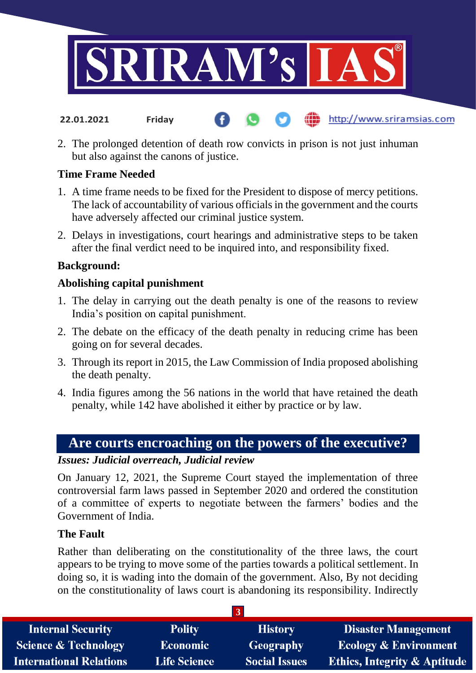

2. The prolonged detention of death row convicts in prison is not just inhuman but also against the canons of justice.

http://www.sriramsias.com

#### **Time Frame Needed**

**22.01.2021 Friday**

- 1. A time frame needs to be fixed for the President to dispose of mercy petitions. The lack of accountability of various officials in the government and the courts have adversely affected our criminal justice system.
- 2. Delays in investigations, court hearings and administrative steps to be taken after the final verdict need to be inquired into, and responsibility fixed.

#### **Background:**

#### **Abolishing capital punishment**

- 1. The delay in carrying out the death penalty is one of the reasons to review India's position on capital punishment.
- 2. The debate on the efficacy of the death penalty in reducing crime has been going on for several decades.
- 3. Through its report in 2015, the Law Commission of India proposed abolishing the death penalty.
- 4. India figures among the 56 nations in the world that have retained the death penalty, while 142 have abolished it either by practice or by law.

## **Are courts encroaching on the powers of the executive?**

#### *Issues: Judicial overreach, Judicial review*

On January 12, 2021, the Supreme Court stayed the implementation of three controversial farm laws passed in September 2020 and ordered the constitution of a committee of experts to negotiate between the farmers' bodies and the Government of India.

#### **The Fault**

Rather than deliberating on the constitutionality of the three laws, the court appears to be trying to move some of the parties towards a political settlement. In doing so, it is wading into the domain of the government. Also, By not deciding on the constitutionality of laws court is abandoning its responsibility. Indirectly

| <b>Internal Security</b>        | <b>Polity</b>       | <b>History</b>       | <b>Disaster Management</b>              |  |  |
|---------------------------------|---------------------|----------------------|-----------------------------------------|--|--|
| <b>Science &amp; Technology</b> | <b>Economic</b>     | Geography            | <b>Ecology &amp; Environment</b>        |  |  |
| <b>International Relations</b>  | <b>Life Science</b> | <b>Social Issues</b> | <b>Ethics, Integrity &amp; Aptitude</b> |  |  |